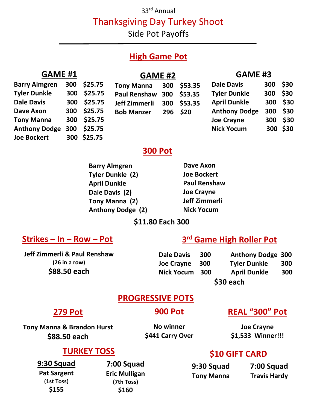#### 33rd Annual

Thanksgiving Day Turkey Shoot

Side Pot Payoffs

### **High Game Pot**

### **GAME #1 Barry Almgren 300 \$25.75**

**Tyler Dunkle 300 \$25.75 Dale Davis 300 \$25.75 Dave Axon 300 \$25.75 Tony Manna 300 \$25.75 Anthony Dodge 300 \$25.75 Joe Bockert 300 \$25.75**

| <b>GAME</b> |  |
|-------------|--|
|             |  |

| <b>Tony Manna</b> | 300 \$53.35    |
|-------------------|----------------|
| .                 | $\overline{a}$ |

### **Paul Renshaw 300 \$53.35 Jeff Zimmerli 300 \$53.35 Bob Manzer 296 \$20**

| <b>Dale Davis</b>   | 300 \$30   |          |
|---------------------|------------|----------|
| <b>Tyler Dunkle</b> | 300 \$30   |          |
| <b>April Dunkle</b> |            | 300 \$30 |
| Anthony Dodgo       | <b>COC</b> | ぐっへ      |

**GAME #3**

| Anthony Dodge 300 \$30 |          |          |  |
|------------------------|----------|----------|--|
| <b>Joe Crayne</b>      | 300 \$30 |          |  |
| <b>Nick Yocum</b>      |          | 300 \$30 |  |

### **300 Pot**

| <b>Dave Axon</b>    |
|---------------------|
| <b>Joe Bockert</b>  |
| <b>Paul Renshaw</b> |
| <b>Joe Crayne</b>   |
| Jeff Zimmerli       |
| <b>Nick Yocum</b>   |
|                     |

### **\$11.80 Each 300**

### **Strikes – In – Row – Pot**

#### **Jeff Zimmerli & Paul Renshaw (26 in a row) \$88.50 each**

### **3 rd Game High Roller Pot**

**Dale Davis 300 Anthony Dodge 300 Joe Crayne 300 Tyler Dunkle 300 Nick Yocum 300 April Dunkle 300** 

**\$30 each**

### **PROGRESSIVE POTS**

### **279 Pot**

**Tony Manna & Brandon Hurst \$88.50 each**

 **900 Pot**

**No winner \$441 Carry Over**

## **REAL "300" Pot**

**Joe Crayne \$1,533 Winner!!!**

### **TURKEY TOSS**

**9:30 Squad Pat Sargent (1st Toss) \$155**

**7:00 Squad Eric Mulligan (7th Toss) \$160**

### **\$10 GIFT CARD**

| 9:30 Squad        | 7:00 Squad          |  |
|-------------------|---------------------|--|
| <b>Tony Manna</b> | <b>Travis Hardy</b> |  |